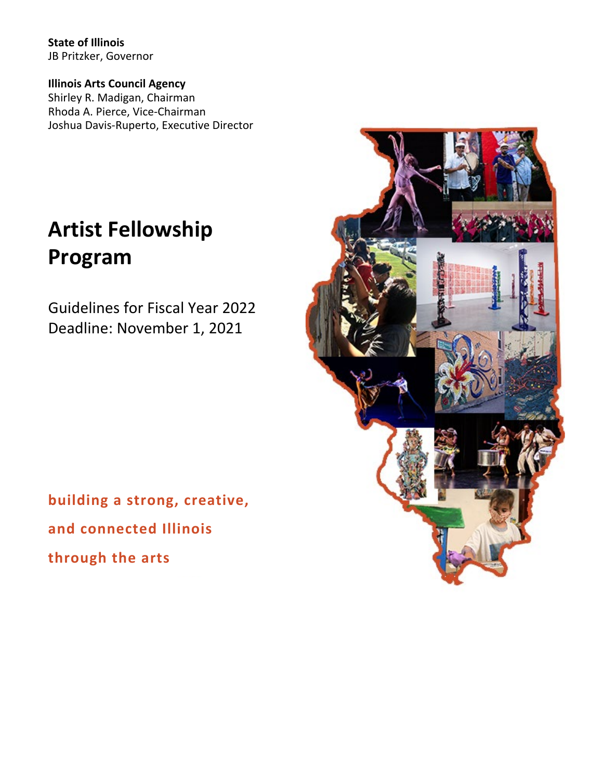**State of Illinois** JB Pritzker, Governor

**Illinois Arts Council Agency** Shirley R. Madigan, Chairman Rhoda A. Pierce, Vice-Chairman Joshua Davis-Ruperto, Executive Director

# **Artist Fellowship Program**

Guidelines for Fiscal Year 2022 Deadline: November 1, 2021



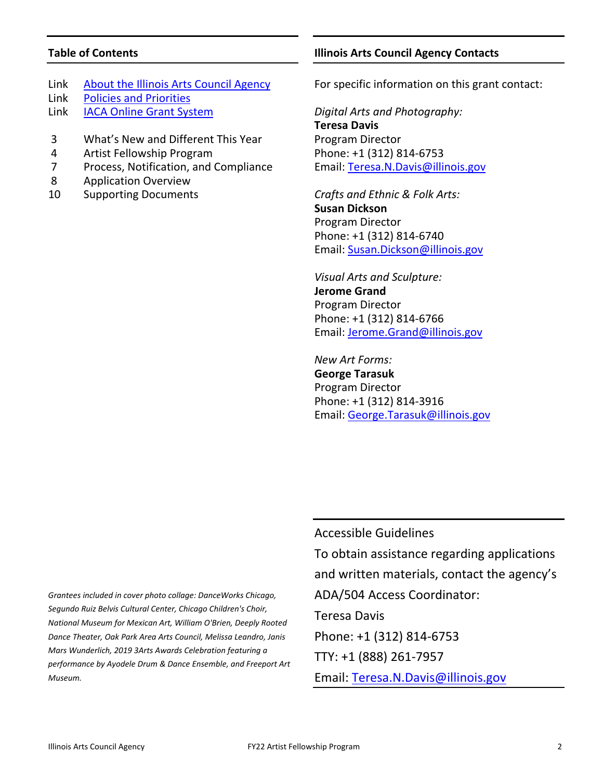# **Table of Contents**

- Link [About the Illinois Arts Council Agency](http://www.arts.illinois.gov/about-iaca) Link [Policies and Priorities](http://www.arts.illinois.gov/grants-programs/funding-programs/policies-priorities)
- Link [IACA Online Grant System](https://arts-illinois.force.com/)
- 3 What's New and Different This Year
- 4 Artist Fellowship Program
- 7 Process, Notification, and Compliance
- 8 Application Overview
- 10 Supporting Documents

# **Illinois Arts Council Agency Contacts**

For specific information on this grant contact:

*Digital Arts and Photography:* **Teresa Davis** Program Director Phone: +1 (312) 814-6753 Email: [Teresa.N.Davis@illinois.gov](mailto:teresa.n.davis@illinois.gov)

*Crafts and Ethnic & Folk Arts:* **Susan Dickson** Program Director Phone: +1 (312) 814-6740 Email: [Susan.Dickson@illinois.gov](mailto:Susan.Dickson@illinois.gov)

*Visual Arts and Sculpture:* **Jerome Grand** Program Director Phone: +1 (312) 814-6766 Email: [Jerome.Grand@illinois.gov](mailto:Jerome.Grand@illinois.gov)

*New Art Forms:* **George Tarasuk**  Program Director Phone: +1 (312) 814-3916 Email: [George.Tarasuk@illinois.gov](mailto:George.Tarasuk@illinois.gov)

*Grantees included in cover photo collage: DanceWorks Chicago, Segundo Ruiz Belvis Cultural Center, Chicago Children's Choir, National Museum for Mexican Art, William O'Brien, Deeply Rooted Dance Theater, Oak Park Area Arts Council, Melissa Leandro, Janis Mars Wunderlich, 2019 3Arts Awards Celebration featuring a performance by Ayodele Drum & Dance Ensemble, and Freeport Art Museum.*

Accessible Guidelines To obtain assistance regarding applications and written materials, contact the agency's ADA/504 Access Coordinator: Teresa Davis Phone: +1 (312) 814-6753 TTY: +1 (888) 261-7957 Email: [Teresa.N.Davis@illinois.gov](mailto:teresa.n.davis@illinois.gov)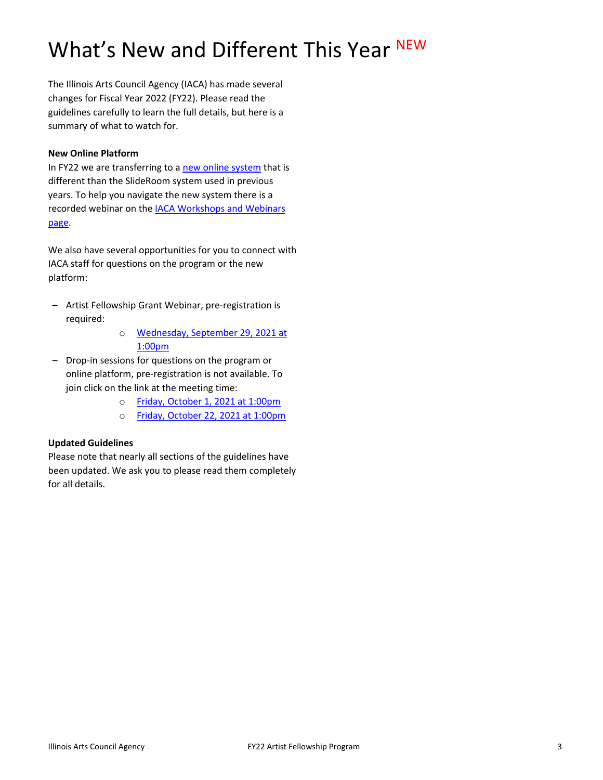# What's New and Different This Year NEW

The Illinois Arts Council Agency (IACA) has made several changes for Fiscal Year 2022 (FY22). Please read the guidelines carefully to learn the full details, but here is a summary of what to watch for.

#### **New Online Platform**

In FY22 we are transferring to [a new online system](https://arts-illinois.force.com/) that is different than the SlideRoom system used in previous years. To help you navigate the new system there is a recorded webinar on th[e IACA Workshops and Webinars](https://arts.illinois.gov/Workshops%20%26%20Webinars)  [page.](https://arts.illinois.gov/Workshops%20%26%20Webinars)

We also have several opportunities for you to connect with IACA staff for questions on the program or the new platform:

- Artist Fellowship Grant Webinar, pre-registration is required:
	- o [Wednesday, September 29, 2021 at](https://illinois.webex.com/illinois/onstage/g.php?MTID=ec04f1b98aa4b8727fee6c0fd277aee29)  [1:00pm](https://illinois.webex.com/illinois/onstage/g.php?MTID=ec04f1b98aa4b8727fee6c0fd277aee29)
- Drop-in sessions for questions on the program or online platform, pre-registration is not available. To join click on the link at the meeting time:
	- o [Friday, October 1, 2021 at 1:00pm](https://illinois.webex.com/illinois/j.php?MTID=m81d3992add5d587d4ed2c23053982185)
	- o [Friday, October 22, 2021 at 1:00pm](https://illinois.webex.com/illinois/j.php?MTID=mdf4cd26a2277893c1d841735581bc9fc)

# **Updated Guidelines**

Please note that nearly all sections of the guidelines have been updated. We ask you to please read them completely for all details.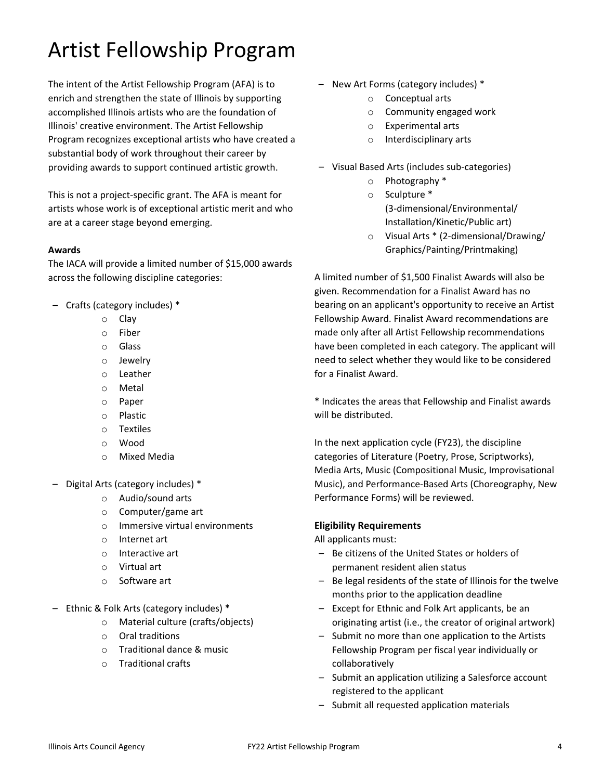# Artist Fellowship Program

The intent of the Artist Fellowship Program (AFA) is to enrich and strengthen the state of Illinois by supporting accomplished Illinois artists who are the foundation of Illinois' creative environment. The Artist Fellowship Program recognizes exceptional artists who have created a substantial body of work throughout their career by providing awards to support continued artistic growth.

This is not a project-specific grant. The AFA is meant for artists whose work is of exceptional artistic merit and who are at a career stage beyond emerging.

#### **Awards**

The IACA will provide a limited number of \$15,000 awards across the following discipline categories:

- Crafts (category includes) \*
	- o Clay
	- o Fiber
	- o Glass
	- o Jewelry
	- o Leather
	- o Metal
	- o Paper
	- o Plastic
	- o Textiles
	- o Wood
	- o Mixed Media
- Digital Arts (category includes) \*
	- o Audio/sound arts
	- o Computer/game art
	- o Immersive virtual environments
	- o Internet art
	- o Interactive art
	- o Virtual art
	- o Software art
- Ethnic & Folk Arts (category includes) \*
	- o Material culture (crafts/objects)
	- o Oral traditions
	- o Traditional dance & music
	- o Traditional crafts
- New Art Forms (category includes) \*
	- o Conceptual arts
	- o Community engaged work
	- o Experimental arts
	- o Interdisciplinary arts
- Visual Based Arts (includes sub-categories)
	- o Photography \*
	- o Sculpture \* (3-dimensional/Environmental/ Installation/Kinetic/Public art)
	- o Visual Arts \* (2-dimensional/Drawing/ Graphics/Painting/Printmaking)

A limited number of \$1,500 Finalist Awards will also be given. Recommendation for a Finalist Award has no bearing on an applicant's opportunity to receive an Artist Fellowship Award. Finalist Award recommendations are made only after all Artist Fellowship recommendations have been completed in each category. The applicant will need to select whether they would like to be considered for a Finalist Award.

\* Indicates the areas that Fellowship and Finalist awards will be distributed.

In the next application cycle (FY23), the discipline categories of Literature (Poetry, Prose, Scriptworks), Media Arts, Music (Compositional Music, Improvisational Music), and Performance-Based Arts (Choreography, New Performance Forms) will be reviewed.

# **Eligibility Requirements**

All applicants must:

- Be citizens of the United States or holders of permanent resident alien status
- Be legal residents of the state of Illinois for the twelve months prior to the application deadline
- Except for Ethnic and Folk Art applicants, be an originating artist (i.e., the creator of original artwork)
- Submit no more than one application to the Artists Fellowship Program per fiscal year individually or collaboratively
- Submit an application utilizing a Salesforce account registered to the applicant
- Submit all requested application materials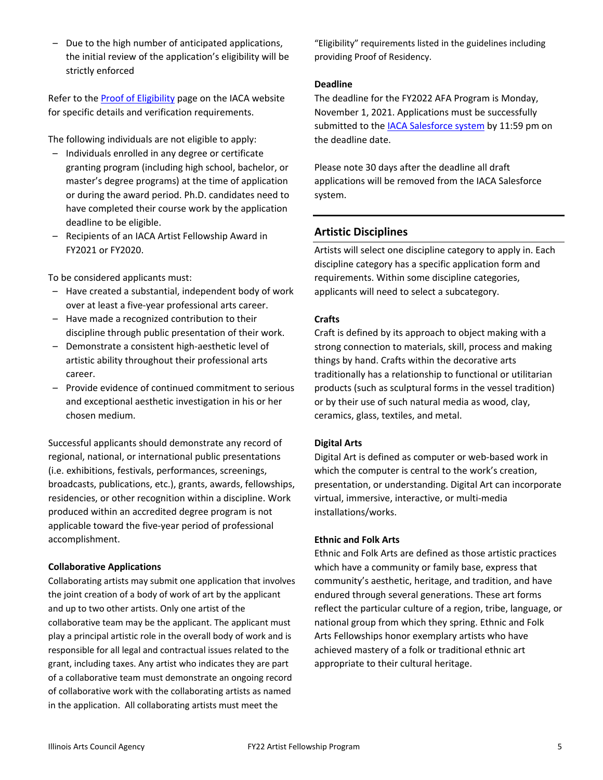– Due to the high number of anticipated applications, the initial review of the application's eligibility will be strictly enforced

Refer to th[e Proof of Eligibility](http://www.arts.illinois.gov/Proof%20of%20Eligibility) page on the IACA website for specific details and verification requirements.

The following individuals are not eligible to apply:

- Individuals enrolled in any degree or certificate granting program (including high school, bachelor, or master's degree programs) at the time of application or during the award period. Ph.D. candidates need to have completed their course work by the application deadline to be eligible.
- Recipients of an IACA Artist Fellowship Award in FY2021 or FY2020.

To be considered applicants must:

- Have created a substantial, independent body of work over at least a five-year professional arts career.
- Have made a recognized contribution to their discipline through public presentation of their work.
- Demonstrate a consistent high-aesthetic level of artistic ability throughout their professional arts career.
- Provide evidence of continued commitment to serious and exceptional aesthetic investigation in his or her chosen medium.

Successful applicants should demonstrate any record of regional, national, or international public presentations (i.e. exhibitions, festivals, performances, screenings, broadcasts, publications, etc.), grants, awards, fellowships, residencies, or other recognition within a discipline. Work produced within an accredited degree program is not applicable toward the five-year period of professional accomplishment.

#### **Collaborative Applications**

Collaborating artists may submit one application that involves the joint creation of a body of work of art by the applicant and up to two other artists. Only one artist of the collaborative team may be the applicant. The applicant must play a principal artistic role in the overall body of work and is responsible for all legal and contractual issues related to the grant, including taxes. Any artist who indicates they are part of a collaborative team must demonstrate an ongoing record of collaborative work with the collaborating artists as named in the application. All collaborating artists must meet the

"Eligibility" requirements listed in the guidelines including providing Proof of Residency.

#### **Deadline**

The deadline for the FY2022 AFA Program is Monday, November 1, 2021. Applications must be successfully submitted to th[e IACA Salesforce system](https://arts-illinois.force.com/) by 11:59 pm on the deadline date.

Please note 30 days after the deadline all draft applications will be removed from the IACA Salesforce system.

# **Artistic Disciplines**

Artists will select one discipline category to apply in. Each discipline category has a specific application form and requirements. Within some discipline categories, applicants will need to select a subcategory.

#### **Crafts**

Craft is defined by its approach to object making with a strong connection to materials, skill, process and making things by hand. Crafts within the decorative arts traditionally has a relationship to functional or utilitarian products (such as sculptural forms in the vessel tradition) or by their use of such natural media as wood, clay, ceramics, glass, textiles, and metal.

#### **Digital Arts**

Digital Art is defined as computer or web-based work in which the computer is central to the work's creation, presentation, or understanding. Digital Art can incorporate virtual, immersive, interactive, or multi-media installations/works.

#### **Ethnic and Folk Arts**

Ethnic and Folk Arts are defined as those artistic practices which have a community or family base, express that community's aesthetic, heritage, and tradition, and have endured through several generations. These art forms reflect the particular culture of a region, tribe, language, or national group from which they spring. Ethnic and Folk Arts Fellowships honor exemplary artists who have achieved mastery of a folk or traditional ethnic art appropriate to their cultural heritage.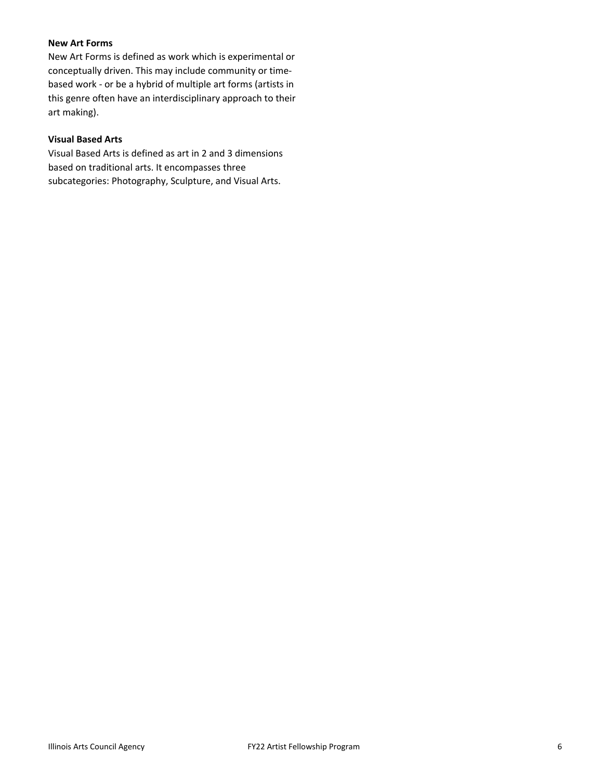# **New Art Forms**

New Art Forms is defined as work which is experimental or conceptually driven. This may include community or timebased work - or be a hybrid of multiple art forms (artists in this genre often have an interdisciplinary approach to their art making).

#### **Visual Based Arts**

Visual Based Arts is defined as art in 2 and 3 dimensions based on traditional arts. It encompasses three subcategories: Photography, Sculpture, and Visual Arts.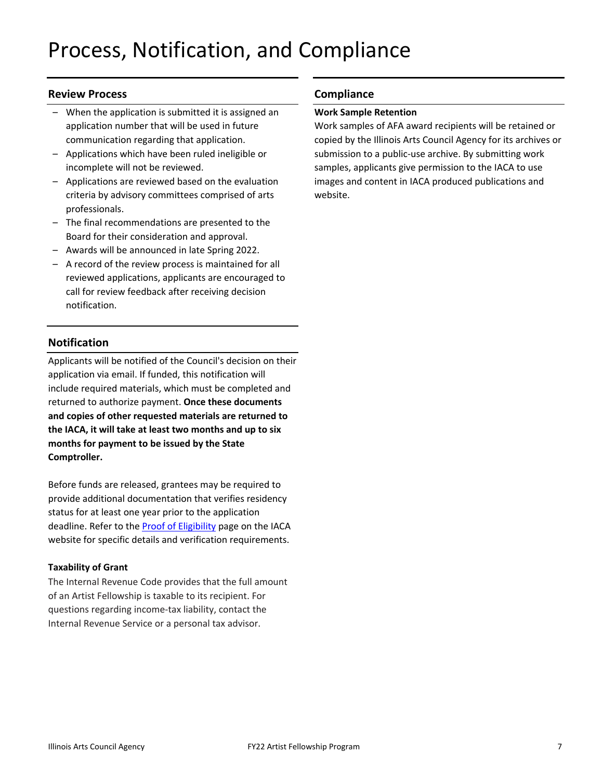# **Review Process**

- When the application is submitted it is assigned an application number that will be used in future communication regarding that application.
- Applications which have been ruled ineligible or incomplete will not be reviewed.
- Applications are reviewed based on the evaluation criteria by advisory committees comprised of arts professionals.
- The final recommendations are presented to the Board for their consideration and approval.
- Awards will be announced in late Spring 2022.
- A record of the review process is maintained for all reviewed applications, applicants are encouraged to call for review feedback after receiving decision notification.

# **Notification**

Applicants will be notified of the Council's decision on their application via email. If funded, this notification will include required materials, which must be completed and returned to authorize payment. **Once these documents and copies of other requested materials are returned to the IACA, it will take at least two months and up to six months for payment to be issued by the State Comptroller.**

Before funds are released, grantees may be required to provide additional documentation that verifies residency status for at least one year prior to the application deadline. Refer to the [Proof of Eligibility](http://www.arts.illinois.gov/Proof%20of%20Eligibility) page on the IACA website for specific details and verification requirements.

# **Taxability of Grant**

The Internal Revenue Code provides that the full amount of an Artist Fellowship is taxable to its recipient. For questions regarding income-tax liability, contact the Internal Revenue Service or a personal tax advisor.

# **Compliance**

# **Work Sample Retention**

Work samples of AFA award recipients will be retained or copied by the Illinois Arts Council Agency for its archives or submission to a public-use archive. By submitting work samples, applicants give permission to the IACA to use images and content in IACA produced publications and website.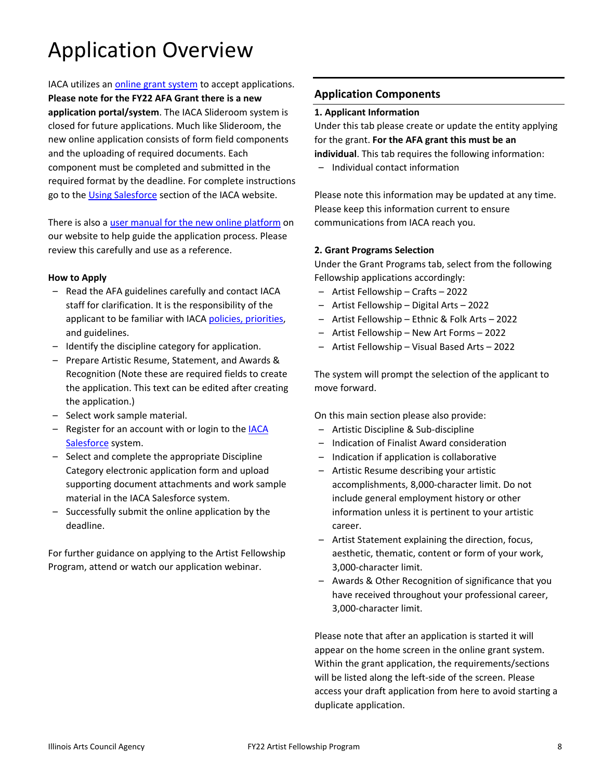# Application Overview

IACA utilizes an [online grant system](https://arts-illinois.force.com/) to accept applications. **Please note for the FY22 AFA Grant there is a new application portal/system**. The IACA Slideroom system is closed for future applications. Much like Slideroom, the new online application consists of form field components and the uploading of required documents. Each component must be completed and submitted in the required format by the deadline. For complete instructions go to the [Using Salesforce](https://arts.illinois.gov/using-salesforce) section of the IACA website.

There is also a [user manual for the new online platform](https://arts.illinois.gov/sites/default/files/content/IACA%20Applicant%20User%20Manual.pdf) on our website to help guide the application process. Please review this carefully and use as a reference.

#### **How to Apply**

- Read the AFA guidelines carefully and contact IACA staff for clarification. It is the responsibility of the applicant to be familiar with IACA [policies, priorities,](http://www.arts.illinois.gov/grants-programs/funding-programs/policies-priorities) and guidelines.
- Identify the discipline category for application.
- Prepare Artistic Resume, Statement, and Awards & Recognition (Note these are required fields to create the application. This text can be edited after creating the application.)
- Select work sample material.
- Register for an account with or login to th[e IACA](https://arts-illinois.force.com/)  [Salesforce](https://arts-illinois.force.com/) system.
- Select and complete the appropriate Discipline Category electronic application form and upload supporting document attachments and work sample material in the IACA Salesforce system.
- Successfully submit the online application by the deadline.

For further guidance on applying to the Artist Fellowship Program, attend or watch our application webinar.

# **Application Components**

# **1. Applicant Information**

Under this tab please create or update the entity applying for the grant. **For the AFA grant this must be an individual**. This tab requires the following information:

– Individual contact information

Please note this information may be updated at any time. Please keep this information current to ensure communications from IACA reach you.

# **2. Grant Programs Selection**

Under the Grant Programs tab, select from the following Fellowship applications accordingly:

- Artist Fellowship Crafts 2022
- Artist Fellowship Digital Arts 2022
- Artist Fellowship Ethnic & Folk Arts 2022
- Artist Fellowship New Art Forms 2022
- Artist Fellowship Visual Based Arts 2022

The system will prompt the selection of the applicant to move forward.

On this main section please also provide:

- Artistic Discipline & Sub-discipline
- Indication of Finalist Award consideration
- Indication if application is collaborative
- Artistic Resume describing your artistic accomplishments, 8,000-character limit. Do not include general employment history or other information unless it is pertinent to your artistic career.
- Artist Statement explaining the direction, focus, aesthetic, thematic, content or form of your work, 3,000-character limit.
- Awards & Other Recognition of significance that you have received throughout your professional career, 3,000-character limit.

Please note that after an application is started it will appear on the home screen in the online grant system. Within the grant application, the requirements/sections will be listed along the left-side of the screen. Please access your draft application from here to avoid starting a duplicate application.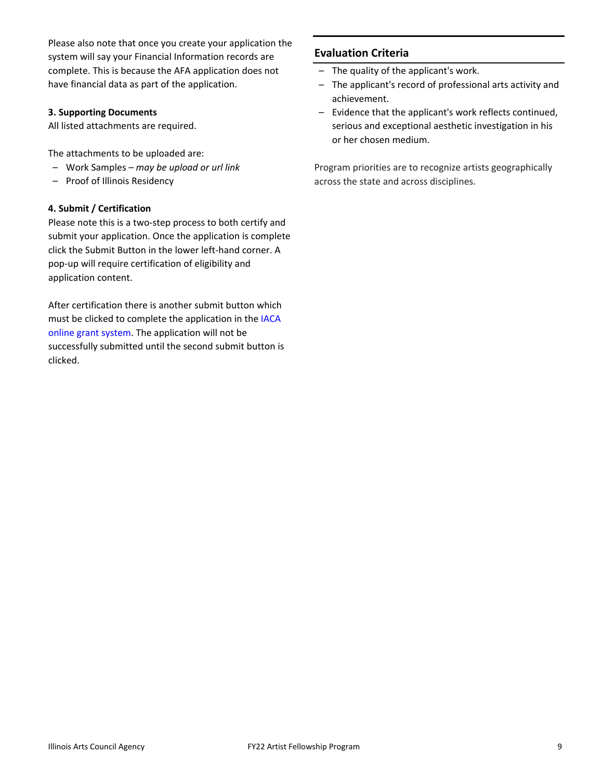Please also note that once you create your application the system will say your Financial Information records are complete. This is because the AFA application does not have financial data as part of the application.

#### **3. Supporting Documents**

All listed attachments are required.

The attachments to be uploaded are:

- Work Samples *may be upload or url link*
- Proof of Illinois Residency

# **4. Submit / Certification**

Please note this is a two-step process to both certify and submit your application. Once the application is complete click the Submit Button in the lower left-hand corner. A pop-up will require certification of eligibility and application content.

After certification there is another submit button which must be clicked to complete the application in the [IACA](https://arts-illinois.force.com/)  [online grant system.](https://arts-illinois.force.com/) The application will not be successfully submitted until the second submit button is clicked.

# **Evaluation Criteria**

- The quality of the applicant's work.
- The applicant's record of professional arts activity and achievement.
- Evidence that the applicant's work reflects continued, serious and exceptional aesthetic investigation in his or her chosen medium.

Program priorities are to recognize artists geographically across the state and across disciplines.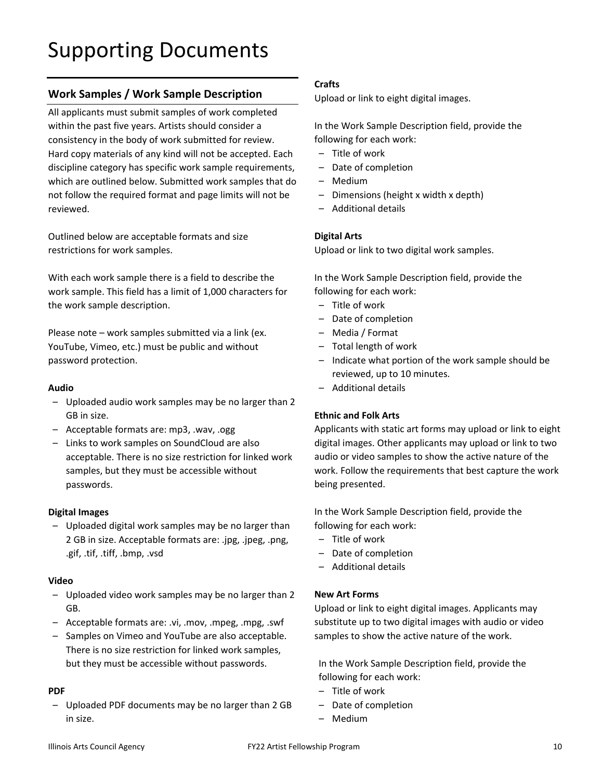# **Work Samples / Work Sample Description**

All applicants must submit samples of work completed within the past five years. Artists should consider a consistency in the body of work submitted for review. Hard copy materials of any kind will not be accepted. Each discipline category has specific work sample requirements, which are outlined below. Submitted work samples that do not follow the required format and page limits will not be reviewed.

Outlined below are acceptable formats and size restrictions for work samples.

With each work sample there is a field to describe the work sample. This field has a limit of 1,000 characters for the work sample description.

Please note – work samples submitted via a link (ex. YouTube, Vimeo, etc.) must be public and without password protection.

#### **Audio**

- Uploaded audio work samples may be no larger than 2 GB in size.
- Acceptable formats are: mp3, .wav, .ogg
- Links to work samples on SoundCloud are also acceptable. There is no size restriction for linked work samples, but they must be accessible without passwords.

#### **Digital Images**

– Uploaded digital work samples may be no larger than 2 GB in size. Acceptable formats are: .jpg, .jpeg, .png, .gif, .tif, .tiff, .bmp, .vsd

#### **Video**

- Uploaded video work samples may be no larger than 2 GB.
- Acceptable formats are: .vi, .mov, .mpeg, .mpg, .swf
- Samples on Vimeo and YouTube are also acceptable. There is no size restriction for linked work samples, but they must be accessible without passwords.

#### **PDF**

– Uploaded PDF documents may be no larger than 2 GB in size.

#### **Crafts**

Upload or link to eight digital images.

In the Work Sample Description field, provide the following for each work:

- Title of work
- Date of completion
- Medium
- Dimensions (height x width x depth)
- Additional details

#### **Digital Arts**

Upload or link to two digital work samples.

In the Work Sample Description field, provide the following for each work:

- Title of work
- Date of completion
- Media / Format
- Total length of work
- Indicate what portion of the work sample should be reviewed, up to 10 minutes.
- Additional details

#### **Ethnic and Folk Arts**

Applicants with static art forms may upload or link to eight digital images. Other applicants may upload or link to two audio or video samples to show the active nature of the work. Follow the requirements that best capture the work being presented.

In the Work Sample Description field, provide the following for each work:

- Title of work
- Date of completion
- Additional details

#### **New Art Forms**

Upload or link to eight digital images. Applicants may substitute up to two digital images with audio or video samples to show the active nature of the work.

In the Work Sample Description field, provide the following for each work:

- Title of work
- Date of completion
- Medium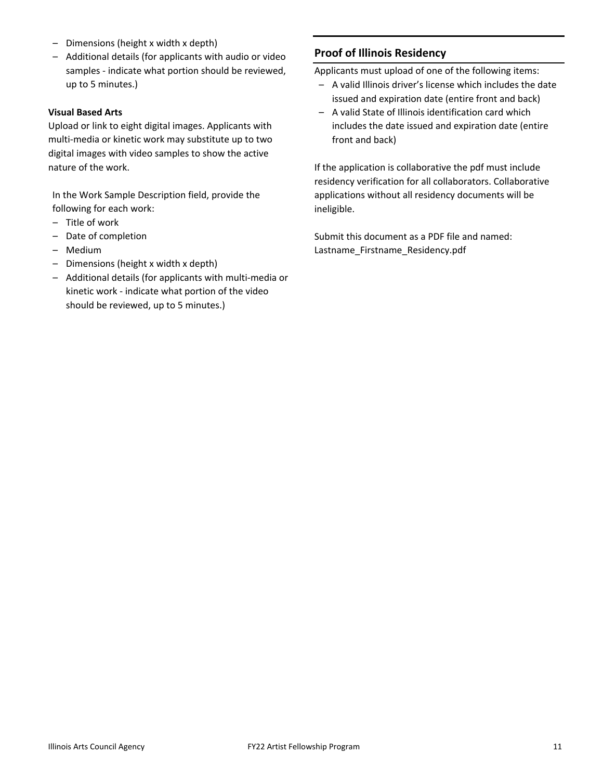- Dimensions (height x width x depth)
- Additional details (for applicants with audio or video samples - indicate what portion should be reviewed, up to 5 minutes.)

#### **Visual Based Arts**

Upload or link to eight digital images. Applicants with multi-media or kinetic work may substitute up to two digital images with video samples to show the active nature of the work.

In the Work Sample Description field, provide the following for each work:

- Title of work
- Date of completion
- Medium
- Dimensions (height x width x depth)
- Additional details (for applicants with multi-media or kinetic work - indicate what portion of the video should be reviewed, up to 5 minutes.)

#### **Proof of Illinois Residency**

Applicants must upload of one of the following items:

- A valid Illinois driver's license which includes the date issued and expiration date (entire front and back)
- A valid State of Illinois identification card which includes the date issued and expiration date (entire front and back)

If the application is collaborative the pdf must include residency verification for all collaborators. Collaborative applications without all residency documents will be ineligible.

Submit this document as a PDF file and named: Lastname\_Firstname\_Residency.pdf